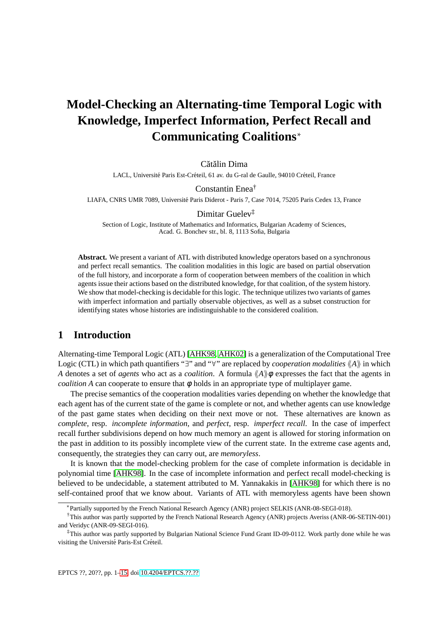## **Model-Checking an Alternating-time Temporal Logic with Knowledge, Imperfect Information, Perfect Recall and Communicating Coalitions**<sup>∗</sup>

Cătălin Dima

LACL, Université Paris Est-Créteil, 61 av. du G-ral de Gaulle, 94010 Créteil, France

Constantin Enea†

LIAFA, CNRS UMR 7089, Universite Paris Diderot - Paris 7, Case 7014, 75205 Paris Cedex 13, France ´

### Dimitar Guelev‡

Section of Logic, Institute of Mathematics and Informatics, Bulgarian Academy of Sciences, Acad. G. Bonchev str., bl. 8, 1113 Sofia, Bulgaria

**Abstract.** We present a variant of ATL with distributed knowledge operators based on a synchronous and perfect recall semantics. The coalition modalities in this logic are based on partial observation of the full history, and incorporate a form of cooperation between members of the coalition in which agents issue their actions based on the distributed knowledge, for that coalition, of the system history. We show that model-checking is decidable for this logic. The technique utilizes two variants of games with imperfect information and partially observable objectives, as well as a subset construction for identifying states whose histories are indistinguishable to the considered coalition.

## **1 Introduction**

Alternating-time Temporal Logic (ATL) [\[AHK98,](#page-14-1) [AHK02\]](#page-14-2) is a generalization of the Computational Tree Logic (CTL) in which path quantifiers "∃" and "∀" are replaced by *cooperation modalities*  $\langle A \rangle$  in which *A* denotes a set of *agents* who act as a *coalition*. A formula  $\langle A \rangle \phi$  expresses the fact that the agents in *coalition A* can cooperate to ensure that  $\phi$  holds in an appropriate type of multiplayer game.

The precise semantics of the cooperation modalities varies depending on whether the knowledge that each agent has of the current state of the game is complete or not, and whether agents can use knowledge of the past game states when deciding on their next move or not. These alternatives are known as *complete*, resp. *incomplete information*, and *perfect*, resp. *imperfect recall*. In the case of imperfect recall further subdivisions depend on how much memory an agent is allowed for storing information on the past in addition to its possibly incomplete view of the current state. In the extreme case agents and, consequently, the strategies they can carry out, are *memoryless*.

It is known that the model-checking problem for the case of complete information is decidable in polynomial time [\[AHK98\]](#page-14-1). In the case of incomplete information and perfect recall model-checking is believed to be undecidable, a statement attributed to M. Yannakakis in [\[AHK98\]](#page-14-1) for which there is no self-contained proof that we know about. Variants of ATL with memoryless agents have been shown

<sup>∗</sup> Partially supported by the French National Research Agency (ANR) project SELKIS (ANR-08-SEGI-018).

<sup>†</sup>This author was partly supported by the French National Research Agency (ANR) projects Averiss (ANR-06-SETIN-001) and Veridyc (ANR-09-SEGI-016).

<sup>‡</sup>This author was partly supported by Bulgarian National Science Fund Grant ID-09-0112. Work partly done while he was visiting the Université Paris-Est Créteil.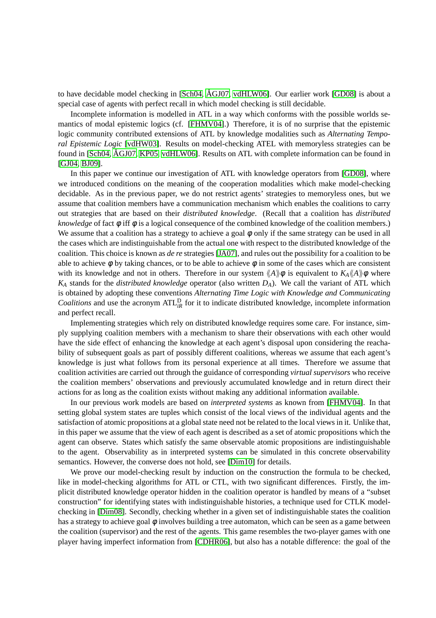to have decidable model checking in [\[Sch04,](#page-14-3)  $\AA$ GJ07, [vdHLW06\]](#page-14-5). Our earlier work [\[GD08\]](#page-14-6) is about a special case of agents with perfect recall in which model checking is still decidable.

Incomplete information is modelled in ATL in a way which conforms with the possible worlds semantics of modal epistemic logics (cf. [\[FHMV04\]](#page-14-7).) Therefore, it is of no surprise that the epistemic logic community contributed extensions of ATL by knowledge modalities such as *Alternating Temporal Epistemic Logic* [\[vdHW03\]](#page-14-8). Results on model-checking ATEL with memoryless strategies can be found in [\[Sch04,](#page-14-3) ÅGJ07, [KP05,](#page-14-9) [vdHLW06\]](#page-14-5). Results on ATL with complete information can be found in [\[GJ04,](#page-14-10) [BJ09\]](#page-14-11).

In this paper we continue our investigation of ATL with knowledge operators from [\[GD08\]](#page-14-6), where we introduced conditions on the meaning of the cooperation modalities which make model-checking decidable. As in the previous paper, we do not restrict agents' strategies to memoryless ones, but we assume that coalition members have a communication mechanism which enables the coalitions to carry out strategies that are based on their *distributed knowledge*. (Recall that a coalition has *distributed knowledge* of fact φ iff φ is a logical consequence of the combined knowledge of the coalition members.) We assume that a coalition has a strategy to achieve a goal  $\phi$  only if the same strategy can be used in all the cases which are indistinguishable from the actual one with respect to the distributed knowledge of the coalition. This choice is known as *de re* strategies [\[JA07\]](#page-14-12), and rules out the possibility for a coalition to be able to achieve  $\phi$  by taking chances, or to be able to achieve  $\phi$  in some of the cases which are consistent with its knowledge and not in others. Therefore in our system  $\langle A \rangle \phi$  is equivalent to  $K_A \langle A \rangle \phi$  where *K<sup>A</sup>* stands for the *distributed knowledge* operator (also written *DA*). We call the variant of ATL which is obtained by adopting these conventions *Alternating Time Logic with Knowledge and Communicating Coalitions* and use the acronym  $ATL_{iR}^{D}$  for it to indicate distributed knowledge, incomplete information and perfect recall.

Implementing strategies which rely on distributed knowledge requires some care. For instance, simply supplying coalition members with a mechanism to share their observations with each other would have the side effect of enhancing the knowledge at each agent's disposal upon considering the reachability of subsequent goals as part of possibly different coalitions, whereas we assume that each agent's knowledge is just what follows from its personal experience at all times. Therefore we assume that coalition activities are carried out through the guidance of corresponding *virtual supervisors* who receive the coalition members' observations and previously accumulated knowledge and in return direct their actions for as long as the coalition exists without making any additional information available.

In our previous work models are based on *interpreted systems* as known from [\[FHMV04\]](#page-14-7). In that setting global system states are tuples which consist of the local views of the individual agents and the satisfaction of atomic propositions at a global state need not be related to the local views in it. Unlike that, in this paper we assume that the view of each agent is described as a set of atomic propositions which the agent can observe. States which satisfy the same observable atomic propositions are indistinguishable to the agent. Observability as in interpreted systems can be simulated in this concrete observability semantics. However, the converse does not hold, see [\[Dim10\]](#page-14-13) for details.

We prove our model-checking result by induction on the construction the formula to be checked, like in model-checking algorithms for ATL or CTL, with two significant differences. Firstly, the implicit distributed knowledge operator hidden in the coalition operator is handled by means of a "subset construction" for identifying states with indistinguishable histories, a technique used for CTLK modelchecking in [\[Dim08\]](#page-14-14). Secondly, checking whether in a given set of indistinguishable states the coalition has a strategy to achieve goal  $\phi$  involves building a tree automaton, which can be seen as a game between the coalition (supervisor) and the rest of the agents. This game resembles the two-player games with one player having imperfect information from [\[CDHR06\]](#page-14-15), but also has a notable difference: the goal of the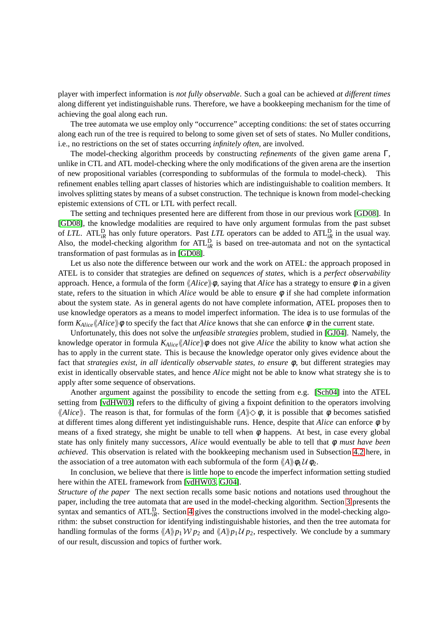player with imperfect information is *not fully observable*. Such a goal can be achieved *at different times* along different yet indistinguishable runs. Therefore, we have a bookkeeping mechanism for the time of achieving the goal along each run.

The tree automata we use employ only "occurrence" accepting conditions: the set of states occurring along each run of the tree is required to belong to some given set of sets of states. No Muller conditions, i.e., no restrictions on the set of states occurring *infinitely often*, are involved.

The model-checking algorithm proceeds by constructing *refinements* of the given game arena Γ, unlike in CTL and ATL model-checking where the only modifications of the given arena are the insertion of new propositional variables (corresponding to subformulas of the formula to model-check). This refinement enables telling apart classes of histories which are indistinguishable to coalition members. It involves splitting states by means of a subset construction. The technique is known from model-checking epistemic extensions of CTL or LTL with perfect recall.

The setting and techniques presented here are different from those in our previous work [\[GD08\]](#page-14-6). In [\[GD08\]](#page-14-6), the knowledge modalities are required to have only argument formulas from the past subset of *LTL*. ATL<sup>D</sup><sub>*iR*</sub> has only future operators. Past *LTL* operators can be added to ATL<sup>D</sup><sub>*iR*</sub> in the usual way. Also, the model-checking algorithm for  $ATL_{iR}^{D}$  is based on tree-automata and not on the syntactical transformation of past formulas as in [\[GD08\]](#page-14-6).

Let us also note the difference between our work and the work on ATEL: the approach proposed in ATEL is to consider that strategies are defined on *sequences of states*, which is a *perfect observability* approach. Hence, a formula of the form  $\langle Alice \rangle \phi$ , saying that *Alice* has a strategy to ensure  $\phi$  in a given state, refers to the situation in which *Alice* would be able to ensure φ if she had complete information about the system state. As in general agents do not have complete information, ATEL proposes then to use knowledge operators as a means to model imperfect information. The idea is to use formulas of the form  $K_{Alice} \& Alice \phi$  to specify the fact that *Alice* knows that she can enforce  $\phi$  in the current state.

Unfortunately, this does not solve the *unfeasible strategies* problem, studied in [\[GJ04\]](#page-14-10). Namely, the knowledge operator in formula  $K_{Alice} \& Alice \& \phi$  does not give *Alice* the ability to know what action she has to apply in the current state. This is because the knowledge operator only gives evidence about the fact that *strategies exist, in all identically observable states, to ensure* φ, but different strategies may exist in identically observable states, and hence *Alice* might not be able to know what strategy she is to apply after some sequence of observations.

Another argument against the possibility to encode the setting from e.g. [\[Sch04\]](#page-14-3) into the ATEL setting from [\[vdHW03\]](#page-14-8) refers to the difficulty of giving a fixpoint definition to the operators involving  $\langle Alice \rangle$ . The reason is that, for formulas of the form  $\langle A \rangle \rangle \diamond \phi$ , it is possible that  $\phi$  becomes satisfied at different times along different yet indistinguishable runs. Hence, despite that *Alice* can enforce φ by means of a fixed strategy, she might be unable to tell when  $\phi$  happens. At best, in case every global state has only finitely many successors, *Alice* would eventually be able to tell that φ *must have been achieved*. This observation is related with the bookkeeping mechanism used in Subsection [4.2](#page-8-0) here, in the association of a tree automaton with each subformula of the form  $\langle A \rangle \phi_1 \mathcal{U} \phi_2$ .

In conclusion, we believe that there is little hope to encode the imperfect information setting studied here within the ATEL framework from [\[vdHW03,](#page-14-8) [GJ04\]](#page-14-10).

*Structure of the paper* The next section recalls some basic notions and notations used throughout the paper, including the tree automata that are used in the model-checking algorithm. Section [3](#page-3-0) presents the syntax and semantics of ATL<sup>D</sup><sub>iR</sub>. Section [4](#page-6-0) gives the constructions involved in the model-checking algorithm: the subset construction for identifying indistinguishable histories, and then the tree automata for handling formulas of the forms  $\langle A \rangle p_1 W p_2$  and  $\langle A \rangle p_1 U p_2$ , respectively. We conclude by a summary of our result, discussion and topics of further work.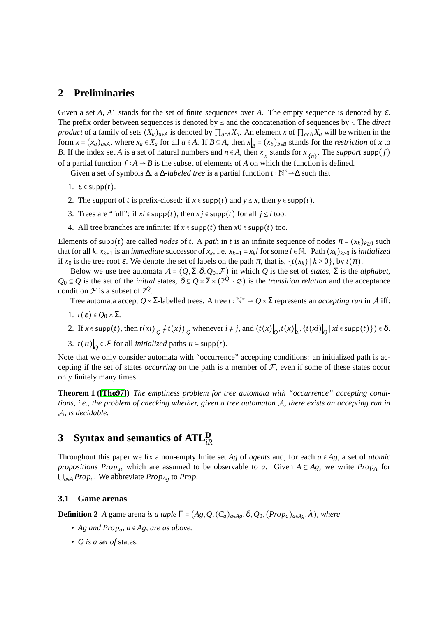### **2 Preliminaries**

Given a set  $A$ ,  $A^*$  stands for the set of finite sequences over  $A$ . The empty sequence is denoted by  $\varepsilon$ . The prefix order between sequences is denoted by  $\leq$  and the concatenation of sequences by  $\cdot$ . The *direct product* of a family of sets  $(X_a)_{a \in A}$  is denoted by  $\prod_{a \in A} X_a$ . An element *x* of  $\prod_{a \in A} X_a$  will be written in the form  $x = (x_a)_{a \in A}$ , where  $x_a \in X_a$  for all  $a \in A$ . If  $B \subseteq A$ , then  $x|_B = (x_b)_{b \in B}$  stands for the *restriction* of x to *B*. If the index set *A* is a set of natural numbers and  $n \in A$ , then  $x|_n$  stands for  $x|_{\{n\}}$ . The *support* supp(*f*) of a partial function  $f : A \to B$  is the subset of elements of *A* on which the function is defined.

Given a set of symbols  $\Delta$ , a  $\Delta$ -*labeled tree* is a partial function  $t : \mathbb{N}^* \rightarrow \Delta$  such that

- 1.  $\varepsilon \in \text{supp}(t)$ .
- 2. The support of *t* is prefix-closed: if  $x \in \text{supp}(t)$  and  $y \leq x$ , then  $y \in \text{supp}(t)$ .
- 3. Trees are "full": if  $xi \in \text{supp}(t)$ , then  $xi \in \text{supp}(t)$  for all  $j \leq i$  too.
- 4. All tree branches are infinite: If  $x \in \text{supp}(t)$  then  $x0 \in \text{supp}(t)$  too.

Elements of supp(*t*) are called *nodes* of *t*. A *path* in *t* is an infinite sequence of nodes  $\pi = (x_k)_{k>0}$  such that for all k,  $x_{k+1}$  is an *immediate* successor of  $x_k$ , i.e.  $x_{k+1} = x_k l$  for some  $l \in \mathbb{N}$ . Path  $(x_k)_{k \geq 0}$  is *initialized* if  $x_0$  is the tree root  $\varepsilon$ . We denote the set of labels on the path  $\pi$ , that is,  $\{t(x_k) | k \ge 0\}$ , by  $t(\pi)$ .

Below we use tree automata  $A = (Q, \Sigma, \delta, Q_0, \mathcal{F})$  in which *Q* is the set of *states*,  $\Sigma$  is the *alphabet*,  $Q_0 \subseteq Q$  is the set of the *initial* states,  $\delta \subseteq Q \times \Sigma \times (2^Q \setminus \emptyset)$  is the *transition relation* and the acceptance condition  $\mathcal F$  is a subset of  $2^{\mathcal Q}$ .

Tree automata accept *Q* × Σ-labelled trees. A tree *t* : N<sup>\*</sup> → *Q* × Σ represents an *accepting run* in *A* iff:

- 1.  $t(\varepsilon) \in Q_0 \times \Sigma$ .
- 2. If  $x \in \text{supp}(t)$ , then  $t(xi) \big|_{Q} \neq t(xj) \big|_{Q}$  whenever  $i \neq j$ , and  $(t(x) \big|_{Q}, t(x) \big|_{\Sigma}, \{t(xi) \big|_{Q} | xi \in \text{supp}(t)\}) \in \delta$ .
- 3.  $t(\pi)\Big|_{Q} \in \mathcal{F}$  for all *initialized* paths  $\pi \subseteq \text{supp}(t)$ .

Note that we only consider automata with "occurrence" accepting conditions: an initialized path is accepting if the set of states *occurring* on the path is a member of  $F$ , even if some of these states occur only finitely many times.

**Theorem 1 ([\[Tho97\]](#page-14-16))** *The emptiness problem for tree automata with "occurrence" accepting conditions, i.e., the problem of checking whether, given a tree automaton* A*, there exists an accepting run in* A*, is decidable.*

# <span id="page-3-0"></span>**3 Syntax and semantics of ATL<sup>D</sup>** *iR*

Throughout this paper we fix a non-empty finite set *Ag* of *agents* and, for each *a* ∈ *Ag*, a set of *atomic propositions Prop<sub>a</sub>*, which are assumed to be observable to *a*. Given  $A \subseteq Ag$ , we write *Prop<sub>A</sub>* for ⋃*a*∈*<sup>A</sup> Propa*. We abbreviate *PropAg* to *Prop*.

### **3.1 Game arenas**

**Definition 2** *A* game arena *is a tuple*  $\Gamma = (Ag, Q, (C_a)_{a \in Ag}, \delta, Q_0, (Prop_a)_{a \in Ag}, \lambda)$ *, where* 

- *Ag and Propa, a* ∈ *Ag, are as above.*
- *Q is a set of* states*,*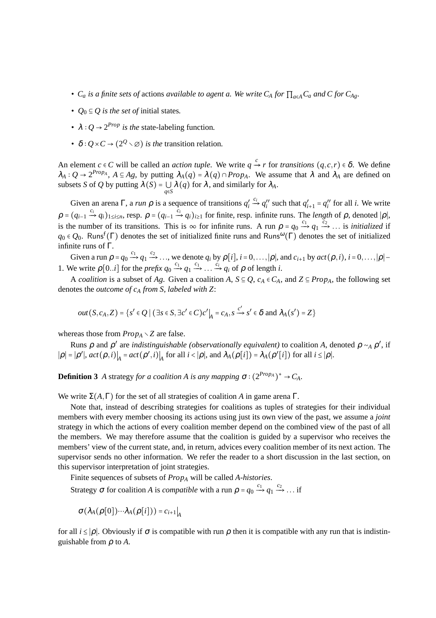- $C_a$  *is a finite sets of* actions *available to agent a. We write*  $C_A$  *for*  $\prod_{a \in A} C_a$  *and*  $C$  *for*  $C_{Ag}$ *.*
- $Q_0 \subseteq Q$  *is the set of initial states.*
- $\lambda$  :  $Q \rightarrow 2^{Prop}$  *is the* state-labeling function.
- *•*  $\delta$  *∶ Q* × *C* → (2<sup>*Q*</sup>  $\times$  ⊘) *is the* transition relation.

An element  $c \in C$  will be called an *action tuple*. We write  $q \stackrel{c}{\rightarrow} r$  for *transitions*  $(q, c, r) \in \delta$ . We define  $\lambda_A: Q \to 2^{Prop_A}$ ,  $A \subseteq Ag$ , by putting  $\lambda_A(q) = \lambda(q) \cap Prop_A$ . We assume that  $\lambda$  and  $\lambda_A$  are defined on subsets *S* of *Q* by putting  $\lambda(S) = \bigcup_{q \in S} \lambda(q)$  for  $\lambda$ , and similarly for  $\lambda_A$ .

Given an arena Γ, a *run*  $\rho$  is a sequence of transitions  $q'_i \stackrel{c_i}{\to} q''_i$  such that  $q'_{i+1} = q''_i$  for all *i*. We write  $\rho = (q_{i-1} \xrightarrow{c_i} q_i)_{1 \le i \le n}$ , resp.  $\rho = (q_{i-1} \xrightarrow{c_i} q_i)_{i \ge 1}$  for finite, resp. infinite runs. The *length* of  $\rho$ , denoted  $|\rho|$ , is the number of its transitions. This is  $\infty$  for infinite runs. A run  $\rho = q_0 \xrightarrow{c_1} q_1 \xrightarrow{c_2} \dots$  is *initialized* if  $q_0 \in Q_0$ . Runs<sup>f</sup>(Γ) denotes the set of initialized finite runs and Runs<sup>ω</sup>(Γ) denotes the set of initialized infinite runs of Γ.

Given a run  $\rho = q_0 \xrightarrow{c_1} q_1 \xrightarrow{c_2} \dots$ , we denote  $q_i$  by  $\rho[i], i = 0, \dots, |\rho|$ , and  $c_{i+1}$  by  $act(\rho, i), i = 0, \dots, |\rho| -$ 1. We write  $\rho$ [0..*i*] for the *prefix*  $q_0 \xrightarrow{c_1} q_1 \xrightarrow{c_1} \dots \xrightarrow{c_i} q_i$  of  $\rho$  of length *i*.

A *coalition* is a subset of *Ag*. Given a coalition *A*, *S* ⊆ *Q*, *c<sub>A</sub>* ∈ *C<sub>A</sub>*, and *Z* ⊆ *Prop<sub>A</sub>*, the following set denotes the *outcome of c<sup>A</sup> from S, labeled with Z*:

$$
out(S, c_A, Z) = \{s' \in Q \mid (\exists s \in S, \exists c' \in C)c'\big|_A = c_A, s \xrightarrow{c'} s' \in \delta \text{ and } \lambda_A(s') = Z\}
$$

whereas those from  $Prop_A \setminus Z$  are false.

Runs  $\rho$  and  $\rho'$  are *indistinguishable (observationally equivalent)* to coalition *A*, denoted  $\rho \sim_A \rho'$ , if  $|\rho| = |\rho'|$ ,  $act(\rho, i)|_A = act(\rho', i)|_A$  for all  $i < |\rho|$ , and  $\lambda_A(\rho[i]) = \lambda_A(\rho'[i])$  for all  $i \le |\rho|$ .

**Definition 3** *A* strategy *for a coalition A is any mapping*  $\sigma$  :  $(2^{Prop_A})^*$  →  $C_A$ *.* 

We write  $\Sigma(A,\Gamma)$  for the set of all strategies of coalition *A* in game arena  $\Gamma$ .

Note that, instead of describing strategies for coalitions as tuples of strategies for their individual members with every member choosing its actions using just its own view of the past, we assume a *joint* strategy in which the actions of every coalition member depend on the combined view of the past of all the members. We may therefore assume that the coalition is guided by a supervisor who receives the members' view of the current state, and, in return, advices every coalition member of its next action. The supervisor sends no other information. We refer the reader to a short discussion in the last section, on this supervisor interpretation of joint strategies.

Finite sequences of subsets of *Prop<sup>A</sup>* will be called *A-histories*.

Strategy  $\sigma$  for coalition *A* is *compatible* with a run  $\rho = q_0 \xrightarrow{c_1} q_1 \xrightarrow{c_2} \dots$  if

$$
\sigma(\lambda_A(\rho[0])\cdots\lambda_A(\rho[i])) = c_{i+1}|_A
$$

for all *i* ≤ ∣ρ∣. Obviously if <sup>σ</sup> is compatible with run <sup>ρ</sup> then it is compatible with any run that is indistinguishable from ρ to *A*.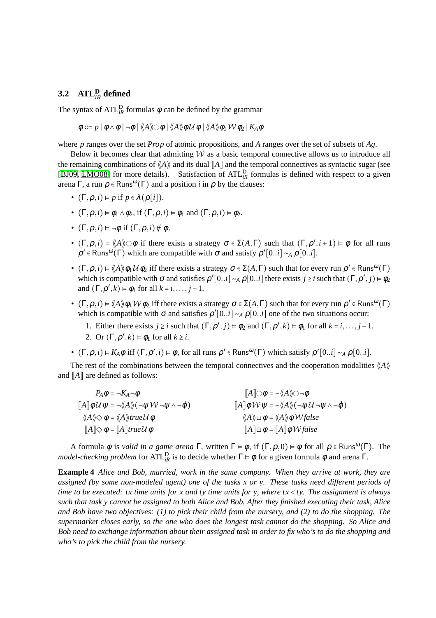## **3.2 ATL<sup>D</sup>** *iR* **defined**

The syntax of  $ATL_{iR}^{D}$  formulas  $\phi$  can be defined by the grammar

$$
\phi ::= p | \phi \wedge \phi | \neg \phi | \langle\!\langle A \rangle\!\rangle \bigcirc \phi | \langle\!\langle A \rangle\!\rangle \phi \mathcal{U} \phi | \langle\!\langle A \rangle\!\rangle \phi_1 \mathcal{W} \phi_2 | K_A \phi
$$

where *p* ranges over the set *Prop* of atomic propositions, and *A* ranges over the set of subsets of *Ag*.

Below it becomes clear that admitting  $W$  as a basic temporal connective allows us to introduce all the remaining combinations of  $\langle A \rangle$  and its dual  $\|A\|$  and the temporal connectives as syntactic sugar (see [\[BJ09,](#page-14-11) [LMO08\]](#page-14-17) for more details). Satisfaction of ATL<sup>D</sup><sub>*iR*</sub> formulas is defined with respect to a given arena  $\Gamma$ , a run  $\rho \in \text{Runs}^{\omega}(\Gamma)$  and a position *i* in  $\rho$  by the clauses:

- $(\Gamma, \rho, i) \models p$  if  $p \in \lambda(\rho[i])$ .
- $(\Gamma, \rho, i) \models \phi_1 \land \phi_2$ , if  $(\Gamma, \rho, i) \models \phi_1$  and  $(\Gamma, \rho, i) \models \phi_2$ .
- $(\Gamma, \rho, i) \models \neg \phi$  if  $(\Gamma, \rho, i) \not\models \phi$ .
- $(\Gamma, \rho, i) = \langle A \rangle \circ \phi$  if there exists a strategy  $\sigma \in \Sigma(A, \Gamma)$  such that  $(\Gamma, \rho', i+1) \models \phi$  for all runs  $\rho' \in \text{Runs}^{\omega}(\Gamma)$  which are compatible with  $\sigma$  and satisfy  $\rho'[0..i] \sim_A \rho[0..i]$ .
- $(\Gamma, \rho, i) \models \langle A \rangle \phi_1 U \phi_2$  iff there exists a strategy  $\sigma \in \Sigma(A, \Gamma)$  such that for every run  $\rho' \in \text{Runs}^{\omega}(\Gamma)$ which is compatible with  $\sigma$  and satisfies  $\rho' [0..i] \sim_A \rho [0..i]$  there exists  $j \ge i$  such that  $(\Gamma, \rho', j) \models \phi_2$ and  $(\Gamma, \rho', k) \models \phi_1$  for all  $k = i, \dots, j - 1$ .
- $(\Gamma, \rho, i) \models \langle A \rangle \phi_1 \mathcal{W} \phi_2$  iff there exists a strategy  $\sigma \in \Sigma(A, \Gamma)$  such that for every run  $\rho' \in \text{Runs}^{\omega}(\Gamma)$ which is compatible with  $\sigma$  and satisfies  $\rho' [0..i] \sim_A \rho [0..i]$  one of the two situations occur:
	- 1. Either there exists  $j \ge i$  such that  $(\Gamma, \rho', j) \models \phi_2$  and  $(\Gamma, \rho', k) \models \phi_1$  for all  $k = i, \ldots, j-1$ . 2. Or  $(\Gamma, \rho', k) \models \phi_1$  for all  $k \geq i$ .
- $(\Gamma, \rho, i) \models K_A \phi$  iff  $(\Gamma, \rho', i) \models \phi$ , for all runs  $\rho' \in \text{Runs}^{\omega}(\Gamma)$  which satisfy  $\rho'[0..i] \sim_A \rho[0..i]$ .

The rest of the combinations between the temporal connectives and the cooperation modalities  $\langle A \rangle$ and  $A$  are defined as follows:

| $P_A \phi = \neg K_A \neg \phi$                                                                                                             | $\llbracket A \rrbracket \bigcirc \phi = \neg \langle \langle A \rangle \rangle \bigcirc \neg \phi$                                          |
|---------------------------------------------------------------------------------------------------------------------------------------------|----------------------------------------------------------------------------------------------------------------------------------------------|
| $\llbracket A \rrbracket \phi \mathcal{U} \psi = \neg \langle \langle A \rangle \rangle (\neg \psi \mathcal{W} \neg \psi \wedge \neg \phi)$ | $\llbracket A \rrbracket \phi \mathcal{W} \psi = - \langle \langle A \rangle \rangle \big( - \psi \mathcal{U} - \psi \wedge - \varphi \big)$ |
| $\langle A \rangle \diamond \phi = \langle A \rangle$ trueU $\phi$                                                                          | $\langle A \rangle \Box \phi = \langle A \rangle \phi \mathcal{W}$ false                                                                     |
| $\llbracket A \rrbracket \diamondsuit \phi = \llbracket A \rrbracket true \mathcal{U} \phi$                                                 | $\llbracket A \rrbracket \Box \phi = \llbracket A \rrbracket \phi \mathcal{W}$ false                                                         |

<span id="page-5-0"></span>A formula  $\phi$  is *valid in a game arena*  $\Gamma$ , written  $\Gamma \models \phi$ , if  $(\Gamma, \rho, 0) \models \phi$  for all  $\rho \in \text{Runs}^{\omega}(\Gamma)$ . The *model-checking problem* for ATL<sup>D</sup><sub>*iR*</sub> is to decide whether  $\Gamma \models \phi$  for a given formula  $\phi$  and arena  $\Gamma$ .

**Example 4** *Alice and Bob, married, work in the same company. When they arrive at work, they are assigned (by some non-modeled agent) one of the tasks x or y. These tasks need different periods of time to be executed: tx time units for x and ty time units for y, where tx* < *ty. The assignment is always such that task y cannot be assigned to both Alice and Bob. After they finished executing their task, Alice and Bob have two objectives: (1) to pick their child from the nursery, and (2) to do the shopping. The supermarket closes early, so the one who does the longest task cannot do the shopping. So Alice and Bob need to exchange information about their assigned task in order to fix who's to do the shopping and who's to pick the child from the nursery.*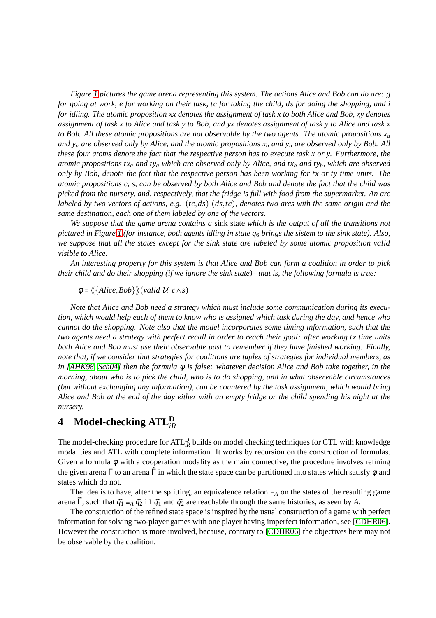*Figure [1](#page-7-0) pictures the game arena representing this system. The actions Alice and Bob can do are: g for going at work, e for working on their task, tc for taking the child, ds for doing the shopping, and i for idling. The atomic proposition xx denotes the assignment of task x to both Alice and Bob, xy denotes assignment of task x to Alice and task y to Bob, and yx denotes assignment of task y to Alice and task x* to Bob. All these atomic propositions are not observable by the two agents. The atomic propositions  $x_a$ *and*  $y_a$  *are observed only by Alice, and the atomic propositions*  $x_b$  *and*  $y_b$  *are observed only by Bob. All these four atoms denote the fact that the respective person has to execute task x or y. Furthermore, the atomic propositions tx<sup>a</sup> and ty<sup>a</sup> which are observed only by Alice, and tx<sup>b</sup> and tyb, which are observed only by Bob, denote the fact that the respective person has been working for tx or ty time units. The atomic propositions c, s, can be observed by both Alice and Bob and denote the fact that the child was picked from the nursery, and, respectively, that the fridge is full with food from the supermarket. An arc labeled by two vectors of actions, e.g.* (*tc*,*ds*) (*ds*,*tc*)*, denotes two arcs with the same origin and the same destination, each one of them labeled by one of the vectors.*

*We suppose that the game arena contains a* sink state *which is the output of all the transitions not pictured in Figure [1](#page-7-0) (for instance, both agents idling in state q*<sup>6</sup> *brings the sistem to the sink state). Also, we suppose that all the states except for the sink state are labeled by some atomic proposition valid visible to Alice.*

*An interesting property for this system is that Alice and Bob can form a coalition in order to pick their child and do their shopping (if we ignore the sink state)– that is, the following formula is true:*

 $\phi = \langle \langle \{Alice, Bob \} \rangle \rangle$  (*valid U c*  $\land$  *s*)

*Note that Alice and Bob need a strategy which must include some communication during its execution, which would help each of them to know who is assigned which task during the day, and hence who cannot do the shopping. Note also that the model incorporates some timing information, such that the two agents need a strategy with perfect recall in order to reach their goal: after working tx time units both Alice and Bob must use their observable past to remember if they have finished working. Finally, note that, if we consider that strategies for coalitions are tuples of strategies for individual members, as in [\[AHK98,](#page-14-1) [Sch04\]](#page-14-3) then the formula* φ *is false: whatever decision Alice and Bob take together, in the morning, about who is to pick the child, who is to do shopping, and in what observable circumstances (but without exchanging any information), can be countered by the task assignment, which would bring Alice and Bob at the end of the day either with an empty fridge or the child spending his night at the nursery.*

# <span id="page-6-0"></span>**4 Model-checking ATL<sup>D</sup>** *iR*

The model-checking procedure for ATL<sup>D</sup><sub>iR</sub> builds on model checking techniques for CTL with knowledge modalities and ATL with complete information. It works by recursion on the construction of formulas. Given a formula  $\phi$  with a cooperation modality as the main connective, the procedure involves refining the given arena Γ to an arena  $\hat{\Gamma}$  in which the state space can be partitioned into states which satisfy  $\phi$  and states which do not.

The idea is to have, after the splitting, an equivalence relation  $\equiv_A$  on the states of the resulting game arena  $\hat{\Gamma}$ , such that  $\hat{q}_1 \equiv_A \hat{q}_2$  iff  $\hat{q}_1$  and  $\hat{q}_2$  are reachable through the same histories, as seen by *A*.

The construction of the refined state space is inspired by the usual construction of a game with perfect information for solving two-player games with one player having imperfect information, see [\[CDHR06\]](#page-14-15). However the construction is more involved, because, contrary to [\[CDHR06\]](#page-14-15) the objectives here may not be observable by the coalition.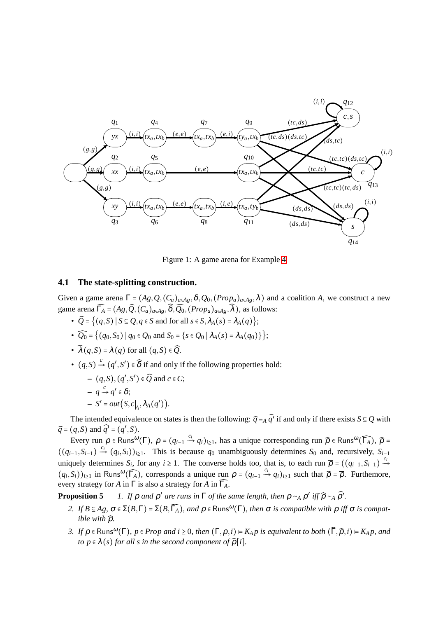

<span id="page-7-0"></span>Figure 1: A game arena for Example [4](#page-5-0)

### <span id="page-7-5"></span>**4.1 The state-splitting construction.**

Given a game arena  $\Gamma = (Ag, Q, (C_a)_{a \in Ag}, \delta, Q_0, (Prop_a)_{a \in Ag}, \lambda)$  and a coalition *A*, we construct a new game arena  $\widehat{\Gamma_A} = (Ag, \widehat{Q}, (C_a)_{a \in Ag}, \widehat{\delta}, \widehat{Q_0}, (Prop_a)_{a \in Ag}, \widehat{\lambda})$ , as follows:

- $\widehat{Q} = \{ (q, S) | S \subseteq Q, q \in S \text{ and for all } s \in S, \lambda_A(s) = \lambda_A(q) \};$
- $\widehat{Q_0} = \{ (q_0, S_0) \mid q_0 \in Q_0 \text{ and } S_0 = \{ s \in Q_0 \mid \lambda_A(s) = \lambda_A(q_0) \} \};$
- $\widehat{\lambda}(q, S) = \lambda(q)$  for all  $(q, S) \in \widehat{Q}$ .
- $(q, S) \xrightarrow{c} (q', S') \in \widehat{\delta}$  if and only if the following properties hold:

$$
-(q, S), (q', S') \in \widehat{Q} \text{ and } c \in C; \n- q \xrightarrow{c} q' \in \delta; \n- S' = out(S, c|_{A}, \lambda_{A}(q')).
$$

The intended equivalence on states is then the following:  $\widehat{q} \equiv_A \widehat{q'}$  if and only if there exists  $S \subseteq Q$  with  $\widehat{q}$  =  $(q, S)$  and  $\widehat{q'}$  =  $(q', S)$ .

Every run  $\rho \in \text{Runs}^{\omega}(\Gamma)$ ,  $\rho = (q_{i-1} \stackrel{c_i}{\rightarrow} q_i)_{i \geq 1}$ , has a unique corresponding run  $\widehat{\rho} \in \text{Runs}^{\omega}(\widehat{\Gamma_A})$ ,  $\widehat{\rho} =$  $((q_{i-1}, S_{i-1}) \xrightarrow{c_i} (q_i, S_i))_{i \geq 1}$ . This is because  $q_0$  unambiguously determines  $S_0$  and, recursively,  $S_{i-1}$ uniquely determines  $S_i$ , for any  $i \ge 1$ . The converse holds too, that is, to each run  $\overline{\rho} = ((q_{i-1}, S_{i-1}) \stackrel{c_i}{\rightarrow}$  $(q_i, S_i)$ <sub>i</sub> $\geq 1$  in Runs<sup>ω</sup>( $\widehat{\Gamma_A}$ ), corresponds a unique run  $\rho = (q_{i-1} \stackrel{c_i}{\rightarrow} q_i)_{i \geq 1}$  such that  $\widehat{\rho} = \overline{\rho}$ . Furthemore, every strategy for *A* in  $\Gamma$  is also a strategy for *A* in  $\widehat{\Gamma_A}$ .

<span id="page-7-2"></span><span id="page-7-1"></span>**Proposition 5** *1. If*  $\rho$  *and*  $\rho'$  *are runs in*  $\Gamma$  *of the same length, then*  $\rho \sim_A \rho'$  *iff*  $\widehat{\rho} \sim_A \widehat{\rho'}$ *.* 

- <span id="page-7-4"></span>2. If  $B \subseteq Ag$ ,  $\sigma \in \Sigma(B,\Gamma) = \Sigma(B,\widehat{\Gamma_A})$ , and  $\rho \in \text{Runs}^{\omega}(\Gamma)$ , then  $\sigma$  *is compatible with*  $\rho$  *iff*  $\sigma$  *is compatible with*  $\hat{\rho}$ *.*
- <span id="page-7-3"></span>*3. If*  $\rho \in \text{Runs}^{\omega}(\Gamma)$ ,  $p \in \text{Prop}$  and  $i \geq 0$ , then  $(\Gamma, \rho, i) \models K_A p$  *is equivalent to both*  $(\widehat{\Gamma}, \widehat{\rho}, i) \models K_A p$ , and *to*  $p \in \lambda(s)$  *for all s in the second component of*  $\widehat{\rho}[i]$ *.*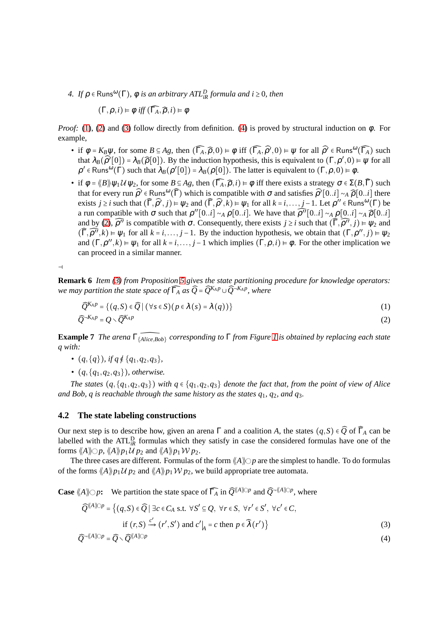<span id="page-8-1"></span> $4.$  *If*  $\rho \in \text{Runs}^{\omega}(\Gamma)$ ,  $\phi$  *is an arbitrary ATL<sup>D</sup><sub>iR</sub> formula and i*  $\geq 0$ *, then* 

$$
(\Gamma, \rho, i) \vDash \phi \text{ iff } (\widehat{\Gamma_A}, \widehat{\rho}, i) \vDash \phi
$$

*Proof:* [\(1\)](#page-7-1), [\(2\)](#page-7-2) and [\(3\)](#page-7-3) follow directly from definition. [\(4\)](#page-8-1) is proved by structural induction on  $\phi$ . For example,

- if  $\phi = K_B \psi$ , for some  $B \subseteq Ag$ , then  $(\widehat{\Gamma_A}, \widehat{\rho}, 0) \models \phi$  iff  $(\widehat{\Gamma_A}, \widehat{\rho'}, 0) \models \psi$  for all  $\widehat{\rho'} \in \text{Runs}^{\omega}(\widehat{\Gamma_A})$  such that  $\lambda_B(\widehat{\rho}'[0]) = \lambda_B(\widehat{\rho}[0])$ . By the induction hypothesis, this is equivalent to  $(\Gamma, \rho', 0) \models \psi$  for all  $\rho' \in \text{Runs}^{\omega}(\Gamma)$  such that  $\lambda_B(\rho'[0]) = \lambda_B(\rho[0])$ . The latter is equivalent to  $(\Gamma, \rho, 0) \models \phi$ .
- if  $\phi = \langle \langle B \rangle \rangle \psi_1 \mathcal{U} \psi_2$ , for some  $B \subseteq Ag$ , then  $(\widehat{\Gamma_A}, \widehat{\rho}, i) \models \phi$  iff there exists a strategy  $\sigma \in \Sigma(B, \widehat{\Gamma})$  such that for every run  $\widehat{\rho}$ <sup>*'*</sup> ∈ Runs<sup>ω</sup>( $\widehat{\Gamma}$ ) which is compatible with  $\sigma$  and satisfies  $\widehat{\rho}$ <sup>*'*[0..*i*]  $\sim$   $\lambda$   $\widehat{\rho}$ [0..*i*] there</sup> exists *j* ≥ *i* such that  $(\widehat{\Gamma}, \widehat{\rho'}, j) = \psi_2$  and  $(\widehat{\Gamma}, \widehat{\rho'}, k) = \psi_1$  for all  $k = i, ..., j-1$ . Let  $\rho'' \in \text{Runs}^{\omega}(\Gamma)$  be a run compatible with  $\sigma$  such that  $\rho''[0..i] \sim_A \rho[0..i]$ . We have that  $\widehat{\rho''}[0..i] \sim_A \rho[0..i] \sim_A \widehat{\rho}[0..i]$ and by [\(2\)](#page-7-2),  $\widehat{\rho}''$  is compatible with  $\sigma$ . Consequently, there exists  $j \ge i$  such that  $(\widehat{\Gamma}, \widehat{\rho''}, j) \models \psi_2$  and  $(\widehat{\Gamma}, \widehat{\rho''}, k) \models \psi_1$  for all  $k = i, ..., j - 1$ . By the induction hypothesis, we obtain that  $(\Gamma, \rho'', j) \models \psi_2$ and  $(\Gamma, \rho'', k) \models \psi_1$  for all  $k = i, \ldots, j - 1$  which implies  $(\Gamma, \rho, i) \models \phi$ . For the other implication we can proceed in a similar manner.

⊣

**Remark 6** *Item [\(3\)](#page-7-3) from Proposition [5](#page-7-4) gives the state partitioning procedure for knowledge operators: we may partition the state space of* Γ̂*<sup>A</sup> as Q*̂= *Q*̂*K<sup>A</sup> <sup>p</sup>* ∪*Q*̂¬*K<sup>A</sup> <sup>p</sup> , where*

<span id="page-8-3"></span>
$$
\widehat{Q}^{K_A p} = \{ (q, S) \in \widehat{Q} \mid (\forall s \in S) (p \in \lambda(s) = \lambda(q)) \}
$$
\n(1)

$$
\widehat{Q}^{-K_A p} = Q \cdot \widehat{Q}^{K_A p} \tag{2}
$$

<span id="page-8-2"></span>**Example 7** *The arena* <sup>Γ</sup>{̂*Alice*,*Bob*} *corresponding to* <sup>Γ</sup> *from Figure [1](#page-7-0) is obtained by replacing each state q with:*

- $(q, \{q\})$ *, if q*  $\notin \{q_1, q_2, q_3\}$ *,*
- $(q, \{q_1, q_2, q_3\})$ *, otherwise.*

*The states*  $(q, \{q_1, q_2, q_3\})$  *with*  $q \in \{q_1, q_2, q_3\}$  *denote the fact that, from the point of view of Alice and Bob, q is reachable through the same history as the states q*1*, q*2*, and q*3*.*

### <span id="page-8-0"></span>**4.2 The state labeling constructions**

Our next step is to describe how, given an arena  $\Gamma$  and a coalition *A*, the states  $(q, S) \in \widehat{Q}$  of  $\widehat{\Gamma}_A$  can be labelled with the ATL<sup>D</sup><sub>iR</sub> formulas which they satisfy in case the considered formulas have one of the forms  $\langle A \rangle \otimes p$ ,  $\langle A \rangle p_1 \mathcal{U} p_2$  and  $\langle A \rangle p_1 \mathcal{W} p_2$ .

The three cases are different. Formulas of the form  $\langle A \rangle$   $\geq$  p are the simplest to handle. To do formulas of the forms  $\langle A \rangle p_1 U p_2$  and  $\langle A \rangle p_1 W p_2$ , we build appropriate tree automata.

**Case**  $\langle A \rangle \circlearrowright p$ : We partition the state space of  $\widehat{\Gamma_A}$  in  $\widehat{\mathcal{Q}}^{(\langle A \rangle\circlearrowright p)}$  and  $\widehat{\mathcal{Q}}^{-\langle\langle A \rangle\circlearrowright p}$ , where

<span id="page-8-4"></span>
$$
\widehat{Q}^{\langle\!\langle A\rangle\!\rangle\!\rangle p} = \left\{ (q, S) \in \widehat{Q} \mid \exists c \in C_A \text{ s.t. } \forall S' \subseteq Q, \ \forall r \in S, \ \forall r' \in S', \ \forall c' \in C, \text{if } (r, S) \xrightarrow{c'} (r', S') \text{ and } c' \big|_A = c \text{ then } p \in \widehat{\lambda}(r') \right\}
$$
\n
$$
(3)
$$

$$
\widehat{Q}^{-\langle\!\langle A\rangle\!\rangle\!\rangle p} = \widehat{Q} \cdot \widehat{Q}^{\langle\!\langle A\rangle\!\rangle\!\rangle p} \tag{4}
$$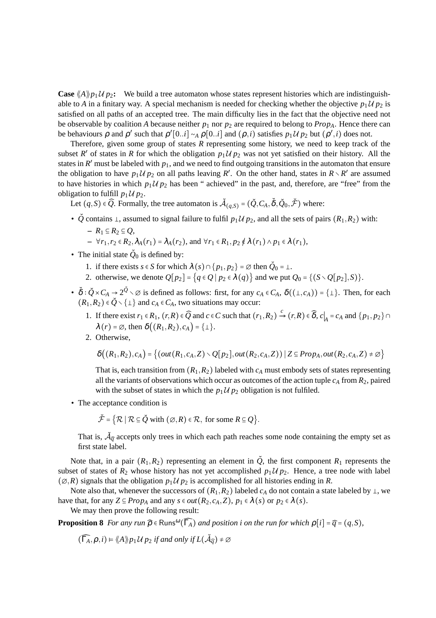**Case**  $\langle A \rangle p_1 U p_2$ : We build a tree automaton whose states represent histories which are indistinguishable to *A* in a finitary way. A special mechanism is needed for checking whether the objective  $p_1 \mathcal{U} p_2$  is satisfied on all paths of an accepted tree. The main difficulty lies in the fact that the objective need not be observable by coalition *A* because neither  $p_1$  nor  $p_2$  are required to belong to  $Prop_A$ . Hence there can be behaviours  $\rho$  and  $\rho'$  such that  $\rho' [0..i] \sim_A \rho [0..i]$  and  $(\rho, i)$  satisfies  $p_1 \mathcal{U} p_2$  but  $(\rho', i)$  does not.

Therefore, given some group of states *R* representing some history, we need to keep track of the subset *R'* of states in *R* for which the obligation  $p_1 \mathcal{U} p_2$  was not yet satisfied on their history. All the states in  $R'$  must be labeled with  $p_1$ , and we need to find outgoing transitions in the automaton that ensure the obligation to have  $p_1 \mathcal{U} p_2$  on all paths leaving R'. On the other hand, states in  $R \setminus R'$  are assumed to have histories in which  $p_1 \mathcal{U} p_2$  has been " achieved" in the past, and, therefore, are "free" from the obligation to fulfill  $p_1 \mathcal{U} p_2$ .

Let  $(q, S) \in \widehat{Q}$ . Formally, the tree automaton is  $\breve{\mathcal{A}}_{(q,S)} = (\breve{Q}, C_A, \breve{\delta}, \breve{Q}_0, \breve{\mathcal{F}})$  where:

•  $\check{Q}$  contains  $\perp$ , assumed to signal failure to fulfil  $p_1 \mathcal{U} p_2$ , and all the sets of pairs  $(R_1, R_2)$  with:

$$
- R_1 \subseteq R_2 \subseteq Q,
$$
  
 
$$
- \forall r_1, r_2 \in R_2, \lambda_A(r_1) = \lambda_A(r_2), \text{ and } \forall r_1 \in R_1, p_2 \notin \lambda(r_1) \wedge p_1 \in \lambda(r_1),
$$

- The initial state  $\check{Q}_0$  is defined by:
	- 1. if there exists  $s \in S$  for which  $\lambda(s) \cap \{p_1, p_2\} = \emptyset$  then  $\check{Q}_0 = \bot$ .
	- 2. otherwise, we denote  $Q[p_2] = \{q \in Q \mid p_2 \in \lambda(q)\}$  and we put  $Q_0 = \{(S \setminus Q[p_2], S)\}.$
- $\delta : \check{Q} \times C_A \to 2^{\check{Q}} \times \emptyset$  is defined as follows: first, for any  $c_A \in C_A$ ,  $\delta((\bot, c_A)) = {\bot}$ . Then, for each  $(R_1, R_2) \in \check{Q} \setminus \{\perp\}$  and  $c_A \in C_A$ , two situations may occur:
	- 1. If there exist  $r_1 \in R_1$ ,  $(r, R) \in \widehat{Q}$  and  $c \in C$  such that  $(r_1, R_2) \xrightarrow{c} (r, R) \in \widehat{\delta}$ ,  $c|_A = c_A$  and  $\{p_1, p_2\} \cap$  $\lambda(r) = \emptyset$ , then  $\delta((R_1, R_2), c_A) = {\{\perp\}}.$
	- 2. Otherwise,

$$
\delta\big((R_1,R_2),c_A\big) = \big\{ \big(\text{out}(R_1,c_A,Z) \setminus Q[p_2],\text{out}(R_2,c_A,Z)\big) \mid Z \subseteq Prop_A,\text{out}(R_2,c_A,Z) \neq \varnothing \big\}
$$

That is, each transition from  $(R_1, R_2)$  labeled with  $c_A$  must embody sets of states representing all the variants of observations which occur as outcomes of the action tuple  $c_A$  from  $R_2$ , paired with the subset of states in which the  $p_1 \mathcal{U} p_2$  obligation is not fulfiled.

• The acceptance condition is

$$
\breve{\mathcal{F}} = \{ \mathcal{R} \mid \mathcal{R} \subseteq \breve{\mathcal{Q}} \text{ with } (\varnothing, R) \in \mathcal{R}, \text{ for some } R \subseteq \mathcal{Q} \}.
$$

That is,  $\tilde{A}_{\hat{q}}$  accepts only trees in which each path reaches some node containing the empty set as first state label.

Note that, in a pair  $(R_1, R_2)$  representing an element in  $\check{Q}$ , the first component  $R_1$  represents the subset of states of  $R_2$  whose history has not yet accomplished  $p_1 \mathcal{U} p_2$ . Hence, a tree node with label  $(\emptyset, R)$  signals that the obligation  $p_1 \mathcal{U} p_2$  is accomplished for all histories ending in *R*.

Note also that, whenever the successors of  $(R_1, R_2)$  labeled  $c_A$  do not contain a state labeled by  $\perp$ , we have that, for any  $Z \subseteq Prop_A$  and any  $s \in out(R_2, c_A, Z)$ ,  $p_1 \in \lambda(s)$  or  $p_2 \in \lambda(s)$ .

We may then prove the following result:

**Proposition 8** *For any run*  $\widehat{\rho}$   $\in$  Runs<sup> $\omega$ </sup>( $\widehat{\Gamma_A}$ ) *and position i on the run for which*  $\rho[i] = \widehat{q} = (q, S)$ *,* 

<span id="page-9-0"></span> $(\widehat{\Gamma_A}, \rho, i) \models \langle A \rangle \rangle p_1 \mathcal{U} p_2$  *if and only if*  $L(\check{\mathcal{A}}_{\widehat{q}}) \neq \emptyset$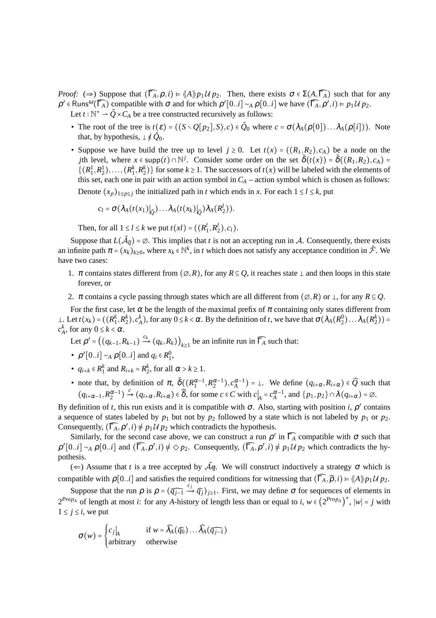*Proof:* ( $\Rightarrow$ ) Suppose that  $(\widehat{\Gamma_A}, \rho, i) \models \langle A \rangle \backslash p_1 \mathcal{U} p_2$ . Then, there exists  $\sigma \in \Sigma(A, \widehat{\Gamma_A})$  such that for any  $\rho' \in \text{Runs}^{\omega}(\widehat{\Gamma_A})$  compatible with  $\sigma$  and for which  $\rho' [0..i] \sim_A \rho[0..i]$  we have  $(\widehat{\Gamma_A}, \rho', i) \models p_1 \mathcal{U} p_2$ . Let  $t : \mathbb{N}^* \to \check{Q} \times C_A$  be a tree constructed recursively as follows:

- The root of the tree is  $t(\varepsilon) = ((S \setminus Q[p_2], S), c) \in \tilde{Q}_0$  where  $c = \sigma(\lambda_A(\rho[0]) \dots \lambda_A(\rho[i]))$ . Note that, by hypothesis,  $\perp \notin \check{Q}_0$ .
- Suppose we have build the tree up to level  $j \ge 0$ . Let  $t(x) = ((R_1, R_2), c_A)$  be a node on the *j*th level, where  $x \in \text{supp}(t) \cap \mathbb{N}^j$ . Consider some order on the set  $\delta(t(x)) = \delta((R_1, R_2), c_A) =$  $\{(R_1^1, R_2^1), \ldots, (R_1^k, R_2^k)\}\$  for some  $k \ge 1$ . The successors of  $t(x)$  will be labeled with the elements of this set, each one in pair with an action symbol in  $C_A$  – action symbol which is chosen as follows: Denote  $(x_p)_{1 \leq p \leq j}$  the initialized path in *t* which ends in *x*. For each  $1 \leq l \leq k$ , put

$$
c_l = \sigma(\lambda_A(t(x_1))_{\underline{\partial}}) \dots \lambda_A(t(x_k))_{\underline{\partial}}) \lambda_A(R_2^l)).
$$

Then, for all  $1 \le l \le k$  we put  $t(xl) = ((R_1^l, R_2^l), c_l)$ .

Suppose that  $L(\check{\mathcal{A}}_{\widehat{q}}) = \emptyset$ . This implies that *t* is not an accepting run in  $\mathcal{A}$ . Consequently, there exists an infinite path  $\pi = (x_k)_{k \geq 0}$ , where  $x_k \in \mathbb{N}^k$ , in *t* which does not satisfy any acceptance condition in  $\breve{\mathcal{F}}$ . We have two cases:

- 1.  $\pi$  contains states different from  $(\emptyset, R)$ , for any  $R \subseteq O$ , it reaches state  $\perp$  and then loops in this state forever, or
- 2.  $\pi$  contains a cycle passing through states which are all different from  $(\emptyset, R)$  or  $\bot$ , for any  $R \subseteq Q$ .

For the first case, let  $\alpha$  be the length of the maximal prefix of  $\pi$  containing only states different from  $\perp$ . Let  $t(x_k) = ((R_1^k, R_2^k), c_A^k)$ , for any  $0 \le k < \alpha$ . By the definition of t, we have that  $\sigma(\lambda_A(R_2^0) \dots \lambda_A(R_2^k)) =$  $c_A^k$ , for any  $0 \le k < \alpha$ .

Let  $\rho' = ((q_{k-1}, R_{k-1}) \xrightarrow{c_k} (q_k, R_k))_{k \ge 1}$  be an infinite run in  $\widehat{\Gamma_A}$  such that:

- $\rho' [0..i] \sim_A \rho [0..i]$  and  $q_i \in R_1^0$ ,
- $q_{i+k} \in R_1^k$  and  $R_{i+k} = R_2^k$ , for all  $\alpha > k \ge 1$ .
- note that, by definition of  $\pi$ ,  $\delta((R_1^{\alpha-1}, R_2^{\alpha-1}), c_A^{\alpha-1}) = \bot$ . We define  $(q_{i+\alpha}, R_{i+\alpha}) \in \widehat{Q}$  such that  $(q_{i+\alpha-1}, R_2^{\alpha-1}) \xrightarrow{c} (q_{i+\alpha}, R_{i+\alpha}) \in \widehat{\delta}$ , for some  $c \in C$  with  $c|_A = c_A^{\alpha-1}$ , and  $\{p_1, p_2\} \cap \lambda(q_{i+\alpha}) = \emptyset$ .

By definition of *t*, this run exists and it is compatible with  $\sigma$ . Also, starting with position *i*,  $\rho'$  contains a sequence of states labeled by  $p_1$  but not by  $p_2$  followed by a state which is not labeled by  $p_1$  or  $p_2$ . Consequently,  $(\widehat{\Gamma_A}, \rho', i) \neq p_1 \mathcal{U} p_2$  which contradicts the hypothesis.

Similarly, for the second case above, we can construct a run  $\rho'$  in  $\widehat{\Gamma_A}$  compatible with  $\sigma$  such that  $\rho' [0..i] \sim_A \rho [0..i]$  and  $(\widehat{\Gamma_A}, \rho', i) \neq \Diamond p_2$ . Consequently,  $(\widehat{\Gamma_A}, \rho', i) \neq p_1 \mathcal{U} p_2$  which contradicts the hypothesis.

 $(\Leftarrow)$  Assume that *t* is a tree accepted by  $\overrightarrow{A}q$ . We will construct inductively a strategy  $\sigma$  which is compatible with  $\rho$ [0..*i*] and satisfies the required conditions for witnessing that  $(\widehat{\Gamma_A}, \widehat{\rho}, i) \models \langle A \rangle p_1 \mathcal{U} p_2$ .

Suppose that the run  $\rho$  is  $\rho = (\widehat{q_{j-1}} \stackrel{c_j}{\rightarrow} \widehat{q_j})_{j \geq 1}$ . First, we may define  $\sigma$  for sequences of elements in  $2^{Prop_A}$  of length at most *i*: for any *A*-history of length less than or equal to *i*,  $w \in (2^{Prop_A})^*$ ,  $|w| = j$  with  $1 \leq j \leq i$ , we put

$$
\sigma(w) = \begin{cases} c_j \big|_A & \text{if } w = \widehat{\lambda}_A(\widehat{q_0}) \dots \widehat{\lambda}_A(\widehat{q_{j-1}}) \\ \text{arbitrary} & \text{otherwise} \end{cases}
$$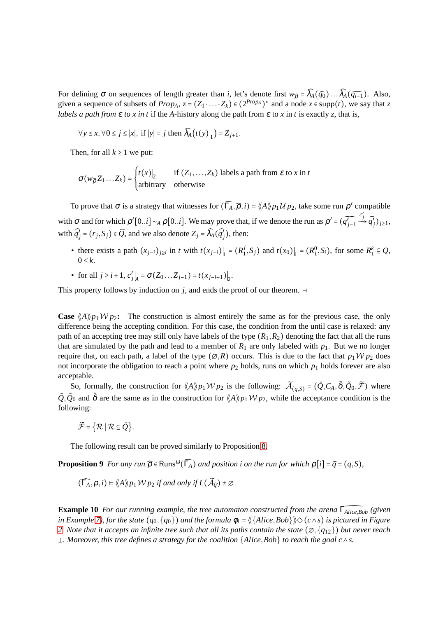For defining  $\sigma$  on sequences of length greater than *i*, let's denote first  $w_{\hat{\rho}} = \hat{\lambda}_A(\hat{q}_0) \dots \hat{\lambda}_A(\hat{q}_{i-1})$ . Also, given a sequence of subsets of  $Prop_A$ ,  $z = (Z_1 \cdot ... \cdot Z_k) \in (2^{Prop_A})^*$  and a node  $x \in supp(t)$ , we say that  $z$ *labels a path from*  $\varepsilon$  *to x in t* if the *A*-history along the path from  $\varepsilon$  to x in *t* is exactly *z*, that is,

$$
\forall y \leq x, \forall 0 \leq j \leq |x|, \text{ if } |y| = j \text{ then } \widehat{\lambda}_A(t(y))|_1 = Z_{j+1}.
$$

Then, for all  $k \geq 1$  we put:

$$
\sigma(w_{\widehat{\rho}} Z_1 \dots Z_k) = \begin{cases} t(x) \Big|_2 & \text{if } (Z_1, \dots, Z_k) \text{ labels a path from } \varepsilon \text{ to } x \text{ in } t \\ \text{arbitrary} & \text{otherwise} \end{cases}
$$

To prove that  $\sigma$  is a strategy that witnesses for  $(\widehat{\Gamma_A}, \widehat{\rho}, i) \models \langle A \rangle p_1 \mathcal{U} p_2$ , take some run  $\rho'$  compatible with  $\sigma$  and for which  $\rho' [0..i] \sim_A \rho [0..i]$ . We may prove that, if we denote the run as  $\rho' = (\widehat{q'_{j-1}})$  $\stackrel{c'_j}{\rightarrow} \widehat{q'_j})_{j\geq 1},$ with  $\widehat{q'}_j = (r_j, S_j) \in \widehat{Q}$ , and we also denote  $Z_j = \widehat{\lambda}_A(\widehat{q'}_j)$ , then:

- there exists a path  $(x_{j-i})_{j\geq i}$  in *t* with  $t(x_{j-i})|_1 = (R_1^j)$  $\left| \int_{1}^{j} S_{j} \right|$  and  $t(x_{0}) \Big|_{1} = (R_{1}^{0}, S_{i}),$  for some  $R_{1}^{k} \subseteq Q$ ,  $0 \leq k$ .
- for all  $j \ge i+1$ ,  $c'_j|_A = \sigma(Z_0 ... Z_{j-1}) = t(x_{j-i-1})|_2$ .

This property follows by induction on *j*, and ends the proof of our theorem.  $→$ 

**Case**  $\langle A \rangle p_1 W p_2$ : The construction is almost entirely the same as for the previous case, the only difference being the accepting condition. For this case, the condition from the until case is relaxed: any path of an accepting tree may still only have labels of the type  $(R_1, R_2)$  denoting the fact that all the runs that are simulated by the path and lead to a member of  $R_1$  are only labeled with  $p_1$ . But we no longer require that, on each path, a label of the type  $(\emptyset, R)$  occurs. This is due to the fact that  $p_1 \mathcal{W} p_2$  does not incorporate the obligation to reach a point where  $p_2$  holds, runs on which  $p_1$  holds forever are also acceptable.

So, formally, the construction for  $\langle A \rangle p_1 W p_2$  is the following:  $\widetilde{\mathcal{A}}_{(q,S)} = (\check{Q}, C_A, \check{\delta}, \check{Q}_0, \widetilde{\mathcal{F}})$  where  $\check{Q}, \check{Q}_0$  and  $\check{\delta}$  are the same as in the construction for  $\langle A \rangle p_1 W p_2$ , while the acceptance condition is the following:

 $\widetilde{\mathcal{F}} = {\mathcal{R} \mid \mathcal{R} \subseteq \check{O}}.$ 

<span id="page-11-0"></span>The following result can be proved similarly to Proposition [8.](#page-9-0)

**Proposition 9** *For any run*  $\widehat{\rho}$   $\in$  Runs<sup> $\omega$ </sup>( $\widehat{\Gamma_A}$ ) *and position i on the run for which*  $\rho[i] = \widehat{q} = (q, S)$ *,* 

$$
(\widehat{\Gamma_A}, \rho, i) \models \langle \! \langle A \rangle \! \rangle_{P_1} \mathcal{W}_{P_2} \text{ if and only if } L(\widetilde{\mathcal{A}}_{\widehat{q}}) \neq \emptyset
$$

**Example 10** *For our running example, the tree automaton constructed from the arena* <sup>Γ</sup>̂*Alice*,*Bob (given in Example* [7\)](#page-8-2), for the state  $(q_0, \{q_0\})$  and the formula  $\phi_1 = \langle \{\text{Alice}, \text{Bob}\} \rangle \rangle \langle (c \land s)$  is pictured in Figure [2.](#page-12-0) *Note that it accepts an infinite tree such that all its paths contain the state*  $(\emptyset, \{q_{12}\})$  *but never reach . Moreover, this tree defines a strategy for the coalition* {*Alice*,*Bob*} *to reach the goal c*∧*s.*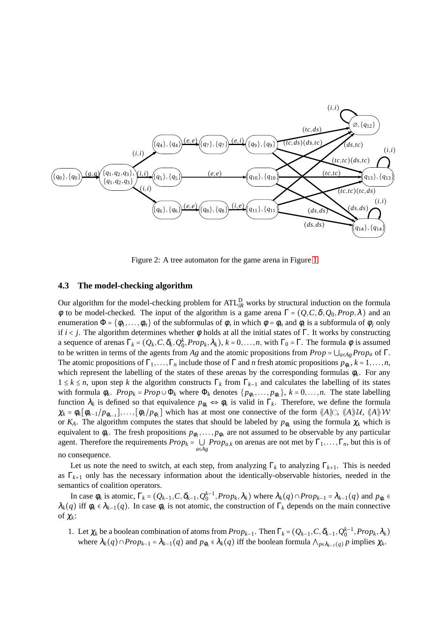

<span id="page-12-0"></span>Figure 2: A tree automaton for the game arena in Figure [1](#page-7-0)

#### **4.3 The model-checking algorithm**

Our algorithm for the model-checking problem for ATL<sup>D</sup><sub>*iR*</sub> works by structural induction on the formula φ to be model-checked. The input of the algorithm is a game arena  $\Gamma = (Q, C, \delta, Q_0, Prop, \lambda)$  and an enumeration  $\Phi = {\phi_1, \ldots, \phi_n}$  of the subformulas of  $\phi$ , in which  $\phi = \phi_n$  and  $\phi_i$  is a subformula of  $\phi_j$  only if  $i < j$ . The algorithm determines whether  $\phi$  holds at all the initial states of  $\Gamma$ . It works by constructing a sequence of arenas  $\Gamma_k = (Q_k, C, \delta_k, Q_0^k, Prop_k, \lambda_k)$ ,  $k = 0, \ldots, n$ , with  $\Gamma_0 = \Gamma$ . The formula  $\phi$  is assumed to be written in terms of the agents from *Ag* and the atomic propositions from  $Prop = \bigcup_{a \in Ag} Prop_a$  of  $\Gamma$ . The atomic propositions of  $\Gamma_1, \ldots, \Gamma_n$  include those of  $\Gamma$  and *n* fresh atomic propositions  $p_{\phi_k}, k = 1, \ldots, n$ , which represent the labelling of the states of these arenas by the corresponding formulas  $\phi_k$ . For any 1 ≤ *k* ≤ *n*, upon step *k* the algorithm constructs Γ*<sup>k</sup>* from Γ*k*−<sup>1</sup> and calculates the labelling of its states with formula  $\phi_k$ .  $Prop_k = Prop \cup \Phi_k$  where  $\Phi_k$  denotes  $\{p_{\phi_1}, \ldots, p_{\phi_k}\}\$ ,  $k = 0, \ldots, n$ . The state labelling function  $\lambda_k$  is defined so that equivalence  $p_{\phi_k} \Leftrightarrow \phi_k$  is valid in  $\Gamma_k$ . Therefore, we define the formula  $\chi_k = \phi_k[\phi_{k-1}/p_{\phi_{k-1}}], \ldots, [\phi_1/p_{\phi_1}]$  which has at most one connective of the form  $\langle A \rangle\!\rangle\langle A, \langle A \rangle\!\rangle\langle U, \langle A \rangle\!\rangle\langle W$ or  $K_A$ . The algorithm computes the states that should be labeled by  $p_{\phi_k}$  using the formula  $\chi_k$  which is equivalent to  $\phi_k$ . The fresh propositions  $p_{\phi_1}, \ldots, p_{\phi_n}$  are not assumed to be observable by any particular agent. Therefore the requirements  $Prop_k = \bigcup_{a \in A} Prop_{a,k}$  on arenas are not met by  $\Gamma_1, \ldots, \Gamma_n$ , but this is of *a*∈*Ag* no consequence.

Let us note the need to switch, at each step, from analyzing  $\Gamma_k$  to analyzing  $\Gamma_{k+1}$ . This is needed as  $\Gamma_{k+1}$  only has the necessary information about the identically-observable histories, needed in the semantics of coalition operators.

In case  $\phi_k$  is atomic,  $\Gamma_k = (Q_{k-1}, C, \delta_{k-1}, Q_0^{k-1}, Prop_k, \lambda_k)$  where  $\lambda_k(q) \cap Prop_{k-1} = \lambda_{k-1}(q)$  and  $p_{\phi_k} \in$  $\lambda_k(q)$  iff  $\phi_k \in \lambda_{k-1}(q)$ . In case  $\phi_k$  is not atomic, the construction of  $\Gamma_k$  depends on the main connective of <sup>χ</sup>*k*:

1. Let  $\chi_k$  be a boolean combination of atoms from  $Prop_{k-1}$ . Then  $\Gamma_k = (Q_{k-1}, C, \delta_{k-1}, Q_0^{k-1}, Prop_k, \lambda_k)$ where  $\lambda_k(q) \cap Prop_{k-1} = \lambda_{k-1}(q)$  and  $p_{\phi_k} \in \lambda_k(q)$  iff the boolean formula  $\bigwedge_{p \in \lambda_{k-1}(q)} p$  implies  $\chi_k$ .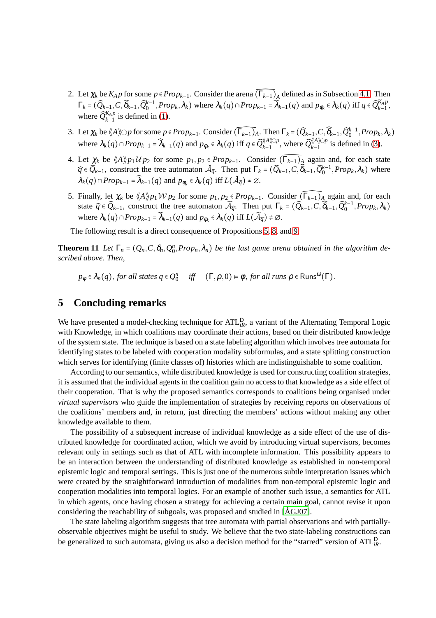- 2. Let  $\chi_k$  be  $K_A p$  for some  $p \in Prop_{k-1}$ . Consider the arena  $\widehat{(T_{k-1})_A}$  defined as in Subsection [4.1.](#page-7-5) Then  $\Gamma_k = (\widehat{Q}_{k-1}, C, \widehat{\delta}_{k-1}, \widehat{Q}_0^{k-1}, Prop_k, \lambda_k)$  where  $\lambda_k(q) \cap Prop_{k-1} = \widehat{\lambda}_{k-1}(q)$  and  $p_{\phi_k} \in \lambda_k(q)$  iff  $q \in \widehat{Q}_{k-1}^{K_A p}$ , where  $\widehat{Q}_{k-1}^{K_A p}$  is defined in [\(1\)](#page-8-3).
- 3. Let  $\chi_k$  be  $\langle A \rangle\!\rangle\!\rangle p$  for some  $p \in Prop_{k-1}$ . Consider  $(\widehat{\Gamma_{k-1}})_A$ . Then  $\Gamma_k = (\widehat{Q}_{k-1}, C, \widehat{\delta}_{k-1}, \widehat{Q}_0^{k-1}, Prop_k, \lambda_k)$ where  $\lambda_k(q) \cap Prop_{k-1} = \widehat{\lambda}_{k-1}(q)$  and  $p_{\phi_k} \in \lambda_k(q)$  iff  $q \in \widehat{Q}_{k-1}^{(\mathcal{A}) \cap p}$ , where  $\widehat{Q}_{k-1}^{(\mathcal{A}) \cap p}$  is defined in [\(3\)](#page-8-4).
- 4. Let  $\chi_k$  be  $\langle A \rangle p_1 U p_2$  for some  $p_1, p_2 \in Prop_{k-1}$ . Consider  $(\widehat{\Gamma_{k-1}})_A$  again and, for each state  $\hat{q} \in \hat{Q}_{k-1}$ , construct the tree automaton  $\check{\mathcal{A}}_{\hat{q}}$ . Then put  $\Gamma_k = (\hat{Q}_{k-1}, \hat{C}, \hat{\delta}_{k-1}, \hat{Q}_0^{k-1}, Prop_k, \lambda_k)$  where  $\lambda_k(q) \cap Prop_{k-1} = \widehat{\lambda}_{k-1}(q)$  and  $p_{\phi_k} \in \lambda_k(q)$  iff  $L(\check{\mathcal{A}}_{\widehat{q}}) \neq \emptyset$ .
- 5. Finally, let  $\chi_k$  be  $\langle A \rangle p_1 W p_2$  for some  $p_1, p_2 \in Prop_{k-1}$ . Consider  $(\widehat{\Gamma_{k-1})_A}$  again and, for each state  $\widehat{q} \in \widehat{Q}_{k-1}$ , construct the tree automaton  $\widetilde{A}_{\widehat{q}}$ . Then put  $\Gamma_k = (\widehat{Q}_{k-1}, C, \widehat{\delta}_{k-1}, \widehat{Q}_0^{k-1}, Prop_k, \lambda_k)$ where  $\lambda_k(q) \cap Prop_{k-1} = \widehat{\lambda}_{k-1}(q)$  and  $p_{\phi_k} \in \lambda_k(q)$  iff  $L(\widetilde{\mathcal{A}}_{\widehat{q}}) \neq \emptyset$ .

The following result is a direct consequence of Propositions [5,](#page-7-4) [8,](#page-9-0) and [9.](#page-11-0)

**Theorem 11** *Let*  $\Gamma_n = (Q_n, C, \delta_n, Q_0^n, Prop_n, \lambda_n)$  *be the last game arena obtained in the algorithm described above. Then,*

 $p_{\phi} \in \lambda_n(q)$ , *for all states*  $q \in \mathcal{Q}_0^n$  *iff*  $(\Gamma, \rho, 0) \models \phi$ , *for all runs*  $\rho \in \text{Runs}^{\omega}(\Gamma)$ .

### **5 Concluding remarks**

We have presented a model-checking technique for ATL<sup>D</sup><sub>iR</sub>, a variant of the Alternating Temporal Logic with Knowledge, in which coalitions may coordinate their actions, based on their distributed knowledge of the system state. The technique is based on a state labeling algorithm which involves tree automata for identifying states to be labeled with cooperation modality subformulas, and a state splitting construction which serves for identifying (finite classes of) histories which are indistinguishable to some coalition.

According to our semantics, while distributed knowledge is used for constructing coalition strategies, it is assumed that the individual agents in the coalition gain no access to that knowledge as a side effect of their cooperation. That is why the proposed semantics corresponds to coalitions being organised under *virtual supervisors* who guide the implementation of strategies by receiving reports on observations of the coalitions' members and, in return, just directing the members' actions without making any other knowledge available to them.

The possibility of a subsequent increase of individual knowledge as a side effect of the use of distributed knowledge for coordinated action, which we avoid by introducing virtual supervisors, becomes relevant only in settings such as that of ATL with incomplete information. This possibility appears to be an interaction between the understanding of distributed knowledge as established in non-temporal epistemic logic and temporal settings. This is just one of the numerous subtle interpretation issues which were created by the straightforward introduction of modalities from non-temporal epistemic logic and cooperation modalities into temporal logics. For an example of another such issue, a semantics for ATL in which agents, once having chosen a strategy for achieving a certain main goal, cannot revise it upon considering the reachability of subgoals, was proposed and studied in  $[\text{AGJ07}]$ .

The state labeling algorithm suggests that tree automata with partial observations and with partiallyobservable objectives might be useful to study. We believe that the two state-labeling constructions can be generalized to such automata, giving us also a decision method for the "starred" version of ATL<sup>D</sup><sub>iR</sub>.